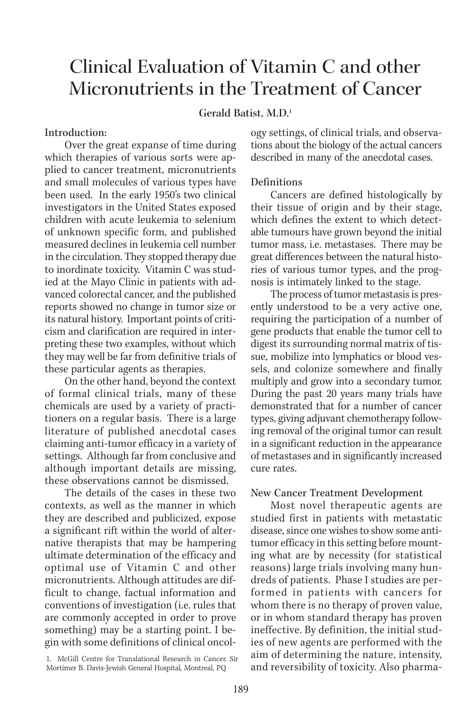# Clinical Evaluation of Vitamin C and other Micronutrients in the Treatment of Cancer

# **Gerald Batist, M.D.1**

#### Introduction:

Over the great expanse of time during which therapies of various sorts were applied to cancer treatment, micronutrients and small molecules of various types have been used. In the early 1950's two clinical investigators in the United States exposed children with acute leukemia to selenium of unknown specific form, and published measured declines in leukemia cell number in the circulation. They stopped therapy due to inordinate toxicity. Vitamin C was studied at the Mayo Clinic in patients with advanced colorectal cancer, and the published reports showed no change in tumor size or its natural history. Important points of criticism and clarification are required in interpreting these two examples, without which they may well be far from definitive trials of these particular agents as therapies.

On the other hand, beyond the context of formal clinical trials, many of these chemicals are used by a variety of practitioners on a regular basis. There is a large literature of published anecdotal cases claiming anti-tumor efficacy in a variety of settings. Although far from conclusive and although important details are missing, these observations cannot be dismissed.

The details of the cases in these two contexts, as well as the manner in which they are described and publicized, expose a significant rift within the world of alternative therapists that may be hampering ultimate determination of the efficacy and optimal use of Vitamin C and other micronutrients. Although attitudes are difficult to change, factual information and conventions of investigation (i.e. rules that are commonly accepted in order to prove something) may be a starting point. I begin with some definitions of clinical oncology settings, of clinical trials, and observations about the biology of the actual cancers described in many of the anecdotal cases.

## Definitions

Cancers are defined histologically by their tissue of origin and by their stage, which defines the extent to which detectable tumours have grown beyond the initial tumor mass, i.e. metastases. There may be great differences between the natural histories of various tumor types, and the prognosis is intimately linked to the stage.

The process of tumor metastasis is presently understood to be a very active one, requiring the participation of a number of gene products that enable the tumor cell to digest its surrounding normal matrix of tissue, mobilize into lymphatics or blood vessels, and colonize somewhere and finally multiply and grow into a secondary tumor. During the past 20 years many trials have demonstrated that for a number of cancer types, giving adjuvant chemotherapy following removal of the original tumor can result in a significant reduction in the appearance of metastases and in significantly increased cure rates.

#### New Cancer Treatment Development

Most novel therapeutic agents are studied first in patients with metastatic disease, since one wishes to show some antitumor efficacy in this setting before mounting what are by necessity (for statistical reasons) large trials involving many hundreds of patients. Phase I studies are performed in patients with cancers for whom there is no therapy of proven value, or in whom standard therapy has proven ineffective. By definition, the initial studies of new agents are performed with the aim of determining the nature, intensity, and reversibility of toxicity. Also pharma-

<sup>1.</sup> McGill Centre for Translational Research in Cancer. Sir Mortimer B. Davis-Jewish General Hospital, Montreal, PQ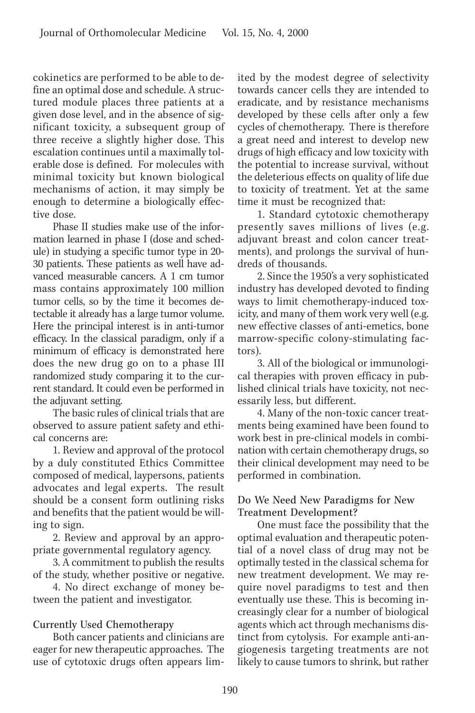cokinetics are performed to be able to define an optimal dose and schedule. A structured module places three patients at a given dose level, and in the absence of significant toxicity, a subsequent group of three receive a slightly higher dose. This escalation continues until a maximally tolerable dose is defined. For molecules with minimal toxicity but known biological mechanisms of action, it may simply be enough to determine a biologically effective dose.

Phase II studies make use of the information learned in phase I (dose and schedule) in studying a specific tumor type in 20- 30 patients. These patients as well have advanced measurable cancers. A 1 cm tumor mass contains approximately 100 million tumor cells, so by the time it becomes detectable it already has a large tumor volume. Here the principal interest is in anti-tumor efficacy. In the classical paradigm, only if a minimum of efficacy is demonstrated here does the new drug go on to a phase III randomized study comparing it to the current standard. It could even be performed in the adjuvant setting.

The basic rules of clinical trials that are observed to assure patient safety and ethical concerns are:

1. Review and approval of the protocol by a duly constituted Ethics Committee composed of medical, laypersons, patients advocates and legal experts. The result should be a consent form outlining risks and benefits that the patient would be willing to sign.

2. Review and approval by an appropriate governmental regulatory agency.

3. A commitment to publish the results of the study, whether positive or negative.

4. No direct exchange of money between the patient and investigator.

## Currently Used Chemotherapy

Both cancer patients and clinicians are eager for new therapeutic approaches. The use of cytotoxic drugs often appears limited by the modest degree of selectivity towards cancer cells they are intended to eradicate, and by resistance mechanisms developed by these cells after only a few cycles of chemotherapy. There is therefore a great need and interest to develop new drugs of high efficacy and low toxicity with the potential to increase survival, without the deleterious effects on quality of life due to toxicity of treatment. Yet at the same time it must be recognized that:

1. Standard cytotoxic chemotherapy presently saves millions of lives (e.g. adjuvant breast and colon cancer treatments), and prolongs the survival of hundreds of thousands.

2. Since the 1950's a very sophisticated industry has developed devoted to finding ways to limit chemotherapy-induced toxicity, and many of them work very well (e.g. new effective classes of anti-emetics, bone marrow-specific colony-stimulating factors).

3. All of the biological or immunological therapies with proven efficacy in published clinical trials have toxicity, not necessarily less, but different.

4. Many of the non-toxic cancer treatments being examined have been found to work best in pre-clinical models in combination with certain chemotherapy drugs, so their clinical development may need to be performed in combination.

# Do We Need New Paradigms for New Treatment Development?

One must face the possibility that the optimal evaluation and therapeutic potential of a novel class of drug may not be optimally tested in the classical schema for new treatment development. We may require novel paradigms to test and then eventually use these. This is becoming increasingly clear for a number of biological agents which act through mechanisms distinct from cytolysis. For example anti-angiogenesis targeting treatments are not likely to cause tumors to shrink, but rather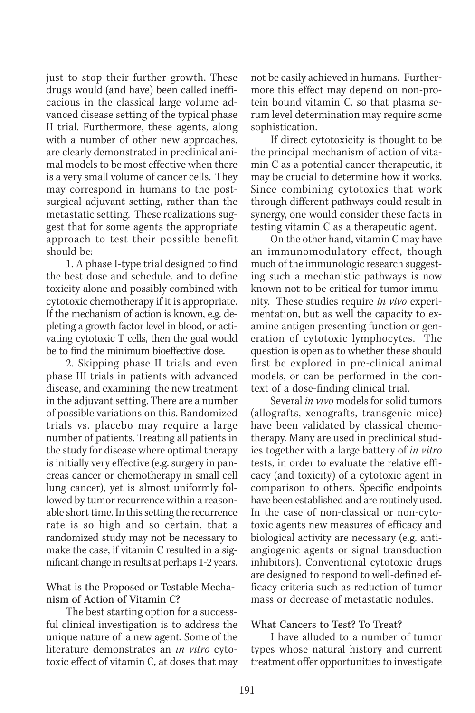just to stop their further growth. These drugs would (and have) been called inefficacious in the classical large volume advanced disease setting of the typical phase II trial. Furthermore, these agents, along with a number of other new approaches, are clearly demonstrated in preclinical animal models to be most effective when there is a very small volume of cancer cells. They may correspond in humans to the postsurgical adjuvant setting, rather than the metastatic setting. These realizations suggest that for some agents the appropriate approach to test their possible benefit should be:

1. A phase I-type trial designed to find the best dose and schedule, and to define toxicity alone and possibly combined with cytotoxic chemotherapy if it is appropriate. If the mechanism of action is known, e.g. depleting a growth factor level in blood, or activating cytotoxic T cells, then the goal would be to find the minimum bioeffective dose.

2. Skipping phase II trials and even phase III trials in patients with advanced disease, and examining the new treatment in the adjuvant setting. There are a number of possible variations on this. Randomized trials vs. placebo may require a large number of patients. Treating all patients in the study for disease where optimal therapy is initially very effective (e.g. surgery in pancreas cancer or chemotherapy in small cell lung cancer), yet is almost uniformly followed by tumor recurrence within a reasonable short time. In this setting the recurrence rate is so high and so certain, that a randomized study may not be necessary to make the case, if vitamin C resulted in a significant change in results at perhaps 1-2 years.

#### What is the Proposed or Testable Mechanism of Action of Vitamin C?

The best starting option for a successful clinical investigation is to address the unique nature of a new agent. Some of the literature demonstrates an *in vitro* cytotoxic effect of vitamin C, at doses that may not be easily achieved in humans. Furthermore this effect may depend on non-protein bound vitamin C, so that plasma serum level determination may require some sophistication.

If direct cytotoxicity is thought to be the principal mechanism of action of vitamin C as a potential cancer therapeutic, it may be crucial to determine how it works. Since combining cytotoxics that work through different pathways could result in synergy, one would consider these facts in testing vitamin C as a therapeutic agent.

On the other hand, vitamin C may have an immunomodulatory effect, though much of the immunologic research suggesting such a mechanistic pathways is now known not to be critical for tumor immunity. These studies require *in vivo* experimentation, but as well the capacity to examine antigen presenting function or generation of cytotoxic lymphocytes. The question is open as to whether these should first be explored in pre-clinical animal models, or can be performed in the context of a dose-finding clinical trial.

Several *in vivo* models for solid tumors (allografts, xenografts, transgenic mice) have been validated by classical chemotherapy. Many are used in preclinical studies together with a large battery of *in vitro* tests, in order to evaluate the relative efficacy (and toxicity) of a cytotoxic agent in comparison to others. Specific endpoints have been established and are routinely used. In the case of non-classical or non-cytotoxic agents new measures of efficacy and biological activity are necessary (e.g. antiangiogenic agents or signal transduction inhibitors). Conventional cytotoxic drugs are designed to respond to well-defined efficacy criteria such as reduction of tumor mass or decrease of metastatic nodules.

## What Cancers to Test? To Treat?

I have alluded to a number of tumor types whose natural history and current treatment offer opportunities to investigate